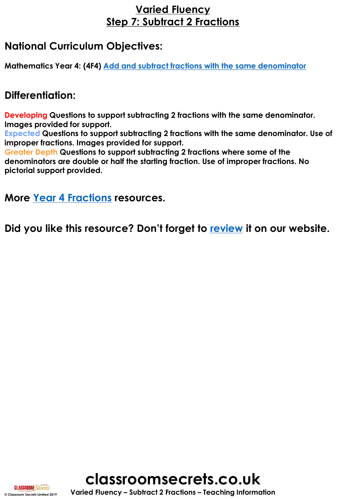# **Varied Fluency Step 7: Subtract 2 Fractions**

# **National Curriculum Objectives:**

**Mathematics Year 4: (4F4) [Add and subtract fractions with the same denominator](https://classroomsecrets.co.uk/content-domain-filter/?fwp_contentdomain=4f4)**

## **Differentiation:**

**Developing Questions to support subtracting 2 fractions with the same denominator. Images provided for support.**

**Expected Questions to support subtracting 2 fractions with the same denominator. Use of improper fractions. Images provided for support.**

**Greater Depth Questions to support subtracting 2 fractions where some of the denominators are double or half the starting fraction. Use of improper fractions. No pictorial support provided.**

**More [Year 4 Fractions](https://classroomsecrets.co.uk/category/maths/year-4/spring-block-3-fractions/) resources.**

**Did you like this resource? Don't forget to [review](https://classroomsecrets.co.uk/subtract-2-fractions-year-4-fractions-step-7-resource-pack) it on our website.**



**© Classroom Secrets Limited 2019 Varied Fluency – Subtract 2 Fractions – Teaching Information**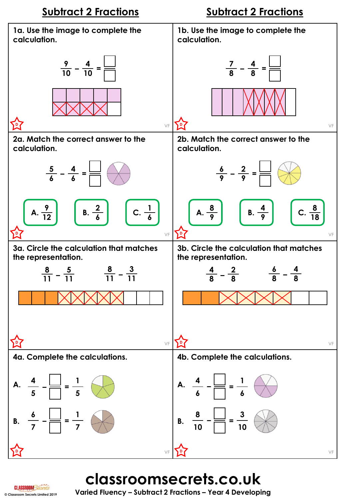

**classroomsecrets.co.uk**

**© Classroom Secrets Limited 2019 Varied Fluency – Subtract 2 Fractions – Year 4 Developing**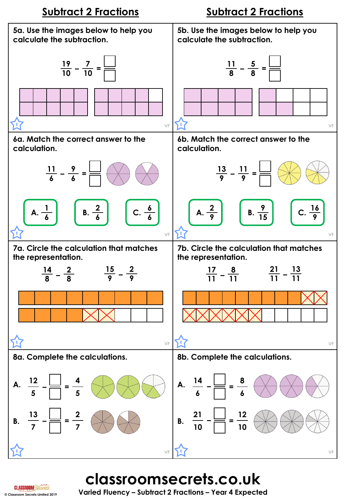

# **classroomsecrets.co.uk**

**CI ASSROOMS** 

**© Classroom Secrets Limited 2019 Varied Fluency – Subtract 2 Fractions – Year 4 Expected**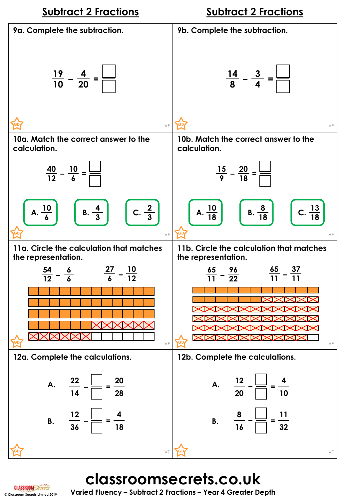

**classroomsecrets.co.uk**

**© Classroom Secrets Limited 2019 Varied Fluency – Subtract 2 Fractions – Year 4 Greater Depth**